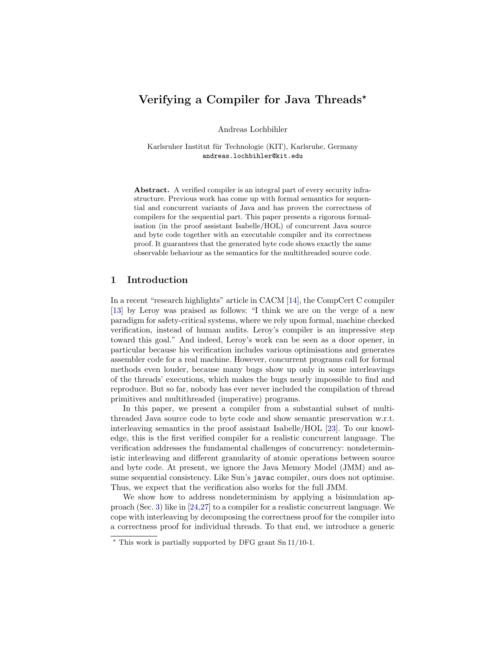# Verifying a Compiler for Java Threads?

Andreas Lochbihler

Karlsruher Institut für Technologie (KIT), Karlsruhe, Germany andreas.lochbihler@kit.edu

Abstract. A verified compiler is an integral part of every security infrastructure. Previous work has come up with formal semantics for sequential and concurrent variants of Java and has proven the correctness of compilers for the sequential part. This paper presents a rigorous formalisation (in the proof assistant Isabelle/HOL) of concurrent Java source and byte code together with an executable compiler and its correctness proof. It guarantees that the generated byte code shows exactly the same observable behaviour as the semantics for the multithreaded source code.

# 1 Introduction

In a recent "research highlights" article in CACM [\[14\]](#page-19-0), the CompCert C compiler [\[13\]](#page-19-1) by Leroy was praised as follows: "I think we are on the verge of a new paradigm for safety-critical systems, where we rely upon formal, machine checked verification, instead of human audits. Leroy's compiler is an impressive step toward this goal." And indeed, Leroy's work can be seen as a door opener, in particular because his verification includes various optimisations and generates assembler code for a real machine. However, concurrent programs call for formal methods even louder, because many bugs show up only in some interleavings of the threads' executions, which makes the bugs nearly impossible to find and reproduce. But so far, nobody has ever never included the compilation of thread primitives and multithreaded (imperative) programs.

In this paper, we present a compiler from a substantial subset of multithreaded Java source code to byte code and show semantic preservation w.r.t. interleaving semantics in the proof assistant Isabelle/HOL [\[23\]](#page-19-2). To our knowledge, this is the first verified compiler for a realistic concurrent language. The verification addresses the fundamental challenges of concurrency: nondeterministic interleaving and different granularity of atomic operations between source and byte code. At present, we ignore the Java Memory Model (JMM) and assume sequential consistency. Like Sun's javac compiler, ours does not optimise. Thus, we expect that the verification also works for the full JMM.

We show how to address nondeterminism by applying a bisimulation approach (Sec. [3\)](#page-8-0) like in [\[24](#page-19-3)[,27\]](#page-19-4) to a compiler for a realistic concurrent language. We cope with interleaving by decomposing the correctness proof for the compiler into a correctness proof for individual threads. To that end, we introduce a generic

 $*$  This work is partially supported by DFG grant Sn 11/10-1.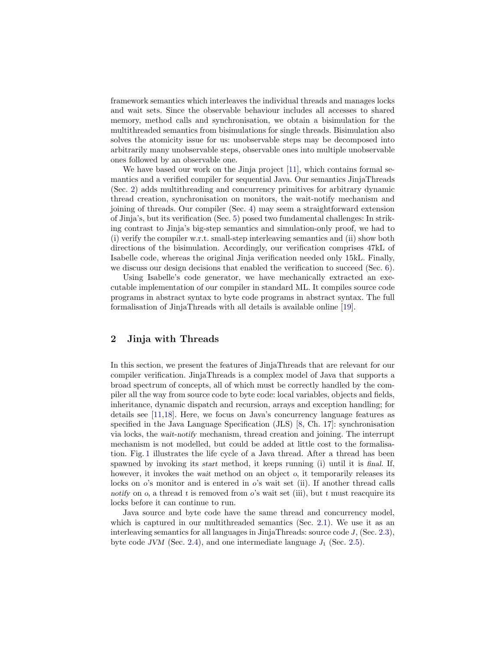framework semantics which interleaves the individual threads and manages locks and wait sets. Since the observable behaviour includes all accesses to shared memory, method calls and synchronisation, we obtain a bisimulation for the multithreaded semantics from bisimulations for single threads. Bisimulation also solves the atomicity issue for us: unobservable steps may be decomposed into arbitrarily many unobservable steps, observable ones into multiple unobservable ones followed by an observable one.

We have based our work on the Jinja project [\[11\]](#page-19-5), which contains formal semantics and a verified compiler for sequential Java. Our semantics JinjaThreads (Sec. [2\)](#page-1-0) adds multithreading and concurrency primitives for arbitrary dynamic thread creation, synchronisation on monitors, the wait-notify mechanism and joining of threads. Our compiler (Sec. [4\)](#page-10-0) may seem a straightforward extension of Jinja's, but its verification (Sec. [5\)](#page-11-0) posed two fundamental challenges: In striking contrast to Jinja's big-step semantics and simulation-only proof, we had to (i) verify the compiler w.r.t. small-step interleaving semantics and (ii) show both directions of the bisimulation. Accordingly, our verification comprises 47kL of Isabelle code, whereas the original Jinja verification needed only 15kL. Finally, we discuss our design decisions that enabled the verification to succeed (Sec. [6\)](#page-15-0).

Using Isabelle's code generator, we have mechanically extracted an executable implementation of our compiler in standard ML. It compiles source code programs in abstract syntax to byte code programs in abstract syntax. The full formalisation of JinjaThreads with all details is available online [\[19\]](#page-19-6).

# <span id="page-1-0"></span>2 Jinja with Threads

In this section, we present the features of JinjaThreads that are relevant for our compiler verification. JinjaThreads is a complex model of Java that supports a broad spectrum of concepts, all of which must be correctly handled by the compiler all the way from source code to byte code: local variables, objects and fields, inheritance, dynamic dispatch and recursion, arrays and exception handling; for details see [\[11,](#page-19-5)[18\]](#page-19-7). Here, we focus on Java's concurrency language features as specified in the Java Language Specification (JLS) [\[8,](#page-19-8) Ch. 17]: synchronisation via locks, the wait-notify mechanism, thread creation and joining. The interrupt mechanism is not modelled, but could be added at little cost to the formalisation. Fig. [1](#page-3-0) illustrates the life cycle of a Java thread. After a thread has been spawned by invoking its start method, it keeps running (i) until it is final. If, however, it invokes the wait method on an object  $o$ , it temporarily releases its locks on o's monitor and is entered in o's wait set (ii). If another thread calls notify on  $o$ , a thread t is removed from  $o$ 's wait set (iii), but t must reacquire its locks before it can continue to run.

Java source and byte code have the same thread and concurrency model, which is captured in our multithreaded semantics (Sec. [2.1\)](#page-2-0). We use it as an interleaving semantics for all languages in JinjaThreads: source code J, (Sec. [2.3\)](#page-4-0), byte code JVM (Sec. [2.4\)](#page-5-0), and one intermediate language  $J_1$  (Sec. [2.5\)](#page-7-0).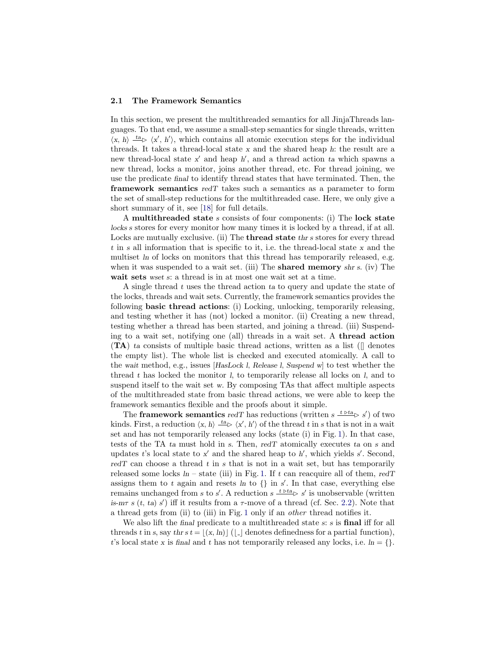### <span id="page-2-0"></span>2.1 The Framework Semantics

In this section, we present the multithreaded semantics for all JinjaThreads languages. To that end, we assume a small-step semantics for single threads, written  $\langle x, h \rangle \stackrel{ta}{\longrightarrow} \langle x', h' \rangle$ , which contains all atomic execution steps for the individual threads. It takes a thread-local state x and the shared heap h: the result are a new thread-local state  $x'$  and heap  $h'$ , and a thread action ta which spawns a new thread, locks a monitor, joins another thread, etc. For thread joining, we use the predicate final to identify thread states that have terminated. Then, the **framework semantics**  $redT$  takes such a semantics as a parameter to form the set of small-step reductions for the multithreaded case. Here, we only give a short summary of it, see [\[18\]](#page-19-7) for full details.

A multithreaded state s consists of four components: (i) The lock state locks s stores for every monitor how many times it is locked by a thread, if at all. Locks are mutually exclusive. (ii) The **thread state** the stores for every thread t in s all information that is specific to it, i.e. the thread-local state x and the multiset *ln* of locks on monitors that this thread has temporarily released, e.g. when it was suspended to a wait set. (iii) The **shared memory** shr s. (iv) The wait sets wset s: a thread is in at most one wait set at a time.

A single thread t uses the thread action ta to query and update the state of the locks, threads and wait sets. Currently, the framework semantics provides the following basic thread actions: (i) Locking, unlocking, temporarily releasing, and testing whether it has (not) locked a monitor. (ii) Creating a new thread, testing whether a thread has been started, and joining a thread. (iii) Suspending to a wait set, notifying one (all) threads in a wait set. A thread action  $(TA)$  ta consists of multiple basic thread actions, written as a list ( $\parallel$  denotes the empty list). The whole list is checked and executed atomically. A call to the wait method, e.g., issues [HasLock l, Release l, Suspend w] to test whether the thread t has locked the monitor l, to temporarily release all locks on l, and to suspend itself to the wait set w. By composing TAs that affect multiple aspects of the multithreaded state from basic thread actions, we were able to keep the framework semantics flexible and the proofs about it simple.

The **framework semantics** redT has reductions (written  $s \stackrel{t \text{ } bta}{\longrightarrow} s'$ ) of two kinds. First, a reduction  $\langle x, h \rangle \stackrel{ta}{\longrightarrow} \langle x', h' \rangle$  of the thread t in s that is not in a wait set and has not temporarily released any locks (state (i) in Fig. [1\)](#page-3-0). In that case, tests of the TA ta must hold in s. Then, redT atomically executes ta on s and updates t's local state to  $x'$  and the shared heap to  $h'$ , which yields  $s'$ . Second,  $redT$  can choose a thread t in s that is not in a wait set, but has temporarily released some locks  $ln -$  state (iii) in Fig. [1.](#page-3-0) If t can reacquire all of them, redT assigns them to t again and resets  $\ln$  to  $\{\}\$ in s'. In that case, everything else remains unchanged from s to s'. A reduction s  $\frac{t \triangleright ta}{s}$  s' is unobservable (written is- $m\tau s$  (t, ta) s') iff it results from a  $\tau$ -move of a thread (cf. Sec. [2.2\)](#page-3-1). Note that a thread gets from (ii) to (iii) in Fig. [1](#page-3-0) only if an other thread notifies it.

We also lift the final predicate to a multithreaded state s: s is **final** iff for all threads t in s, say thr s  $t = |(x, ln)|$  ( $| \_ |$  denotes definedness for a partial function), t's local state x is final and t has not temporarily released any locks, i.e.  $\ln = \{\}.$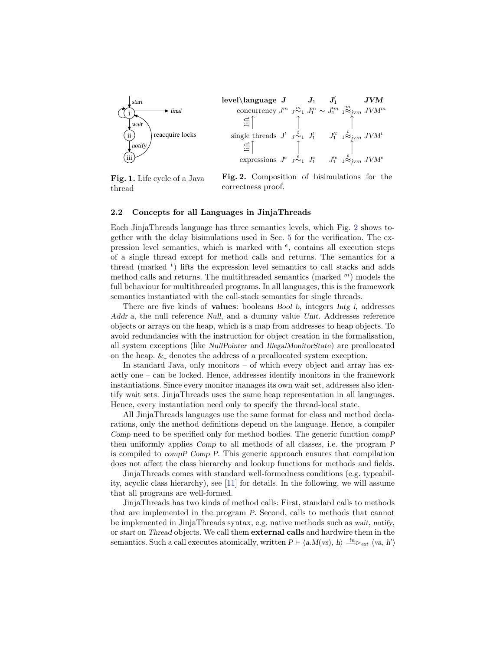

<span id="page-3-0"></span>Fig. 1. Life cycle of a Java thread

<span id="page-3-2"></span>Fig. 2. Composition of bisimulations for the correctness proof.

### <span id="page-3-1"></span>2.2 Concepts for all Languages in JinjaThreads

Each JinjaThreads language has three semantics levels, which Fig. [2](#page-3-2) shows together with the delay bisimulations used in Sec. [5](#page-11-0) for the verification. The expression level semantics, which is marked with  $e$ , contains all execution steps of a single thread except for method calls and returns. The semantics for a thread (marked  $<sup>t</sup>$ ) lifts the expression level semantics to call stacks and adds</sup> method calls and returns. The multithreaded semantics (marked  $<sup>m</sup>$ ) models the</sup> full behaviour for multithreaded programs. In all languages, this is the framework semantics instantiated with the call-stack semantics for single threads.

There are five kinds of values: booleans Bool b, integers Intg i, addresses Addr a, the null reference Null, and a dummy value Unit. Addresses reference objects or arrays on the heap, which is a map from addresses to heap objects. To avoid redundancies with the instruction for object creation in the formalisation, all system exceptions (like NullPointer and IllegalMonitorState) are preallocated on the heap.  $&$  denotes the address of a preallocated system exception.

In standard Java, only monitors – of which every object and array has exactly one – can be locked. Hence, addresses identify monitors in the framework instantiations. Since every monitor manages its own wait set, addresses also identify wait sets. JinjaThreads uses the same heap representation in all languages. Hence, every instantiation need only to specify the thread-local state.

All JinjaThreads languages use the same format for class and method declarations, only the method definitions depend on the language. Hence, a compiler Comp need to be specified only for method bodies. The generic function compP then uniformly applies Comp to all methods of all classes, i.e. the program P is compiled to compP Comp P. This generic approach ensures that compilation does not affect the class hierarchy and lookup functions for methods and fields.

JinjaThreads comes with standard well-formedness conditions (e.g. typeability, acyclic class hierarchy), see [\[11\]](#page-19-5) for details. In the following, we will assume that all programs are well-formed.

JinjaThreads has two kinds of method calls: First, standard calls to methods that are implemented in the program P. Second, calls to methods that cannot be implemented in JinjaThreads syntax, e.g. native methods such as wait, notify, or start on Thread objects. We call them external calls and hardwire them in the semantics. Such a call executes atomically, written  $P \vdash \langle a.M(\mathit{vs}), h \rangle \stackrel{\text{ta}}{\longrightarrow} \infty_{\text{ext}} \langle \mathit{va}, h' \rangle$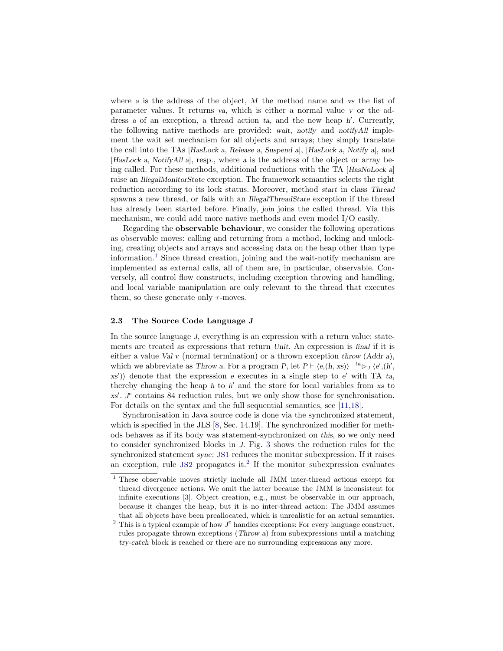where a is the address of the object, M the method name and vs the list of parameter values. It returns va, which is either a normal value v or the address a of an exception, a thread action ta, and the new heap h'. Currently, the following native methods are provided: wait, notify and notifyAll implement the wait set mechanism for all objects and arrays; they simply translate the call into the TAs [HasLock a, Release a, Suspend a], [HasLock a, Notify a], and [HasLock a, NotifyAll a], resp., where a is the address of the object or array being called. For these methods, additional reductions with the TA [HasNoLock a] raise an IllegalMonitorState exception. The framework semantics selects the right reduction according to its lock status. Moreover, method start in class Thread spawns a new thread, or fails with an *IllegalThreadState* exception if the thread has already been started before. Finally, join joins the called thread. Via this mechanism, we could add more native methods and even model I/O easily.

Regarding the observable behaviour, we consider the following operations as observable moves: calling and returning from a method, locking and unlocking, creating objects and arrays and accessing data on the heap other than type information.<sup>[1](#page-4-1)</sup> Since thread creation, joining and the wait-notify mechanism are implemented as external calls, all of them are, in particular, observable. Conversely, all control flow constructs, including exception throwing and handling, and local variable manipulation are only relevant to the thread that executes them, so these generate only  $\tau$ -moves.

### <span id="page-4-0"></span>2.3 The Source Code Language J

In the source language J, everything is an expression with a return value: statements are treated as expressions that return Unit. An expression is final if it is either a value Val v (normal termination) or a thrown exception throw (Addr a), which we abbreviate as Throw a. For a program P, let  $P \vdash \langle e, (h, xs) \rangle \stackrel{ta}{\longrightarrow} J \langle e', (h', \mathcal{L}) \rangle$  $\langle xs' \rangle$  denote that the expression e executes in a single step to e' with TA ta, thereby changing the heap  $h$  to  $h'$  and the store for local variables from  $xs$  to  $xs'$ .  $J<sup>e</sup>$  contains 84 reduction rules, but we only show those for synchronisation. For details on the syntax and the full sequential semantics, see [\[11](#page-19-5)[,18\]](#page-19-7).

Synchronisation in Java source code is done via the synchronized statement, which is specified in the JLS [\[8,](#page-19-8) Sec. 14.19]. The synchronized modifier for methods behaves as if its body was statement-synchronized on this, so we only need to consider synchronized blocks in J. Fig. [3](#page-5-1) shows the reduction rules for the synchronized statement sync: [JS1](#page-4-0) reduces the monitor subexpression. If it raises an exception, rule [JS2](#page-4-0) propagates it.<sup>[2](#page-4-2)</sup> If the monitor subexpression evaluates

<span id="page-4-1"></span><sup>1</sup> These observable moves strictly include all JMM inter-thread actions except for thread divergence actions. We omit the latter because the JMM is inconsistent for infinite executions [\[3\]](#page-18-0). Object creation, e.g., must be observable in our approach, because it changes the heap, but it is no inter-thread action: The JMM assumes that all objects have been preallocated, which is unrealistic for an actual semantics.

<span id="page-4-2"></span><sup>&</sup>lt;sup>2</sup> This is a typical example of how  $J^e$  handles exceptions: For every language construct, rules propagate thrown exceptions (Throw a) from subexpressions until a matching try-catch block is reached or there are no surrounding expressions any more.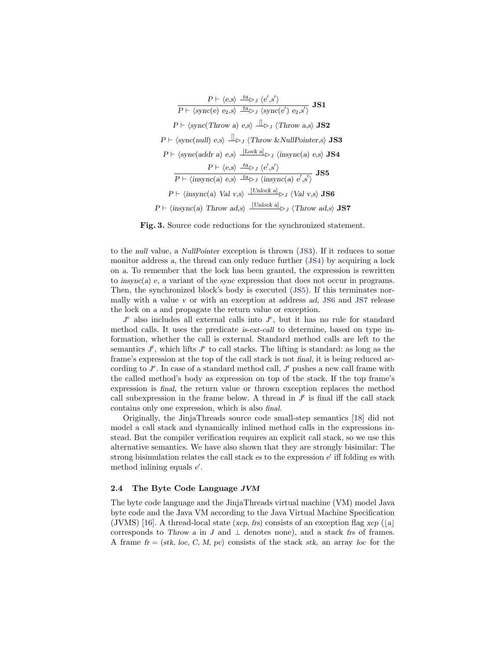$$
P \vdash \langle e, s \rangle \xrightarrow{ta} \rangle_J \langle e', s' \rangle
$$
\n
$$
\overline{P} \vdash \langle \text{sync}(e) \ e_2, s \rangle \xrightarrow{ta} \rangle_J \langle \text{sync}(e') \ e_2, s' \rangle
$$
\n
$$
JSI
$$
\n
$$
P \vdash \langle \text{sync}(Throw a) \ e, s \rangle \xrightarrow{\mathbb{L}} \rangle_J \langle \text{Throw a}, s \rangle
$$
\n
$$
JS2
$$
\n
$$
P \vdash \langle \text{sync}(null) \ e, s \rangle \xrightarrow{\mathbb{L}} \langle \text{Throw & \& NullPointer, s \rangle}
$$
\n
$$
JS3
$$
\n
$$
P \vdash \langle \text{sync}(addr a) \ e, s \rangle \xrightarrow{\mathbf{La}} \langle \text{Insum}(a) \ e, s \rangle
$$
\n
$$
JS4
$$
\n
$$
P \vdash \langle e, s \rangle \xrightarrow{ta} \rangle_J \langle \text{insync}(a) \ e, s \rangle
$$
\n
$$
JS5
$$
\n
$$
P \vdash \langle \text{insync}(a) \ \text{Val v}, s \rangle \xrightarrow{\text{[Unlock a]}} \langle \text{Val v}, s \rangle
$$
\n
$$
JS6
$$
\n
$$
P \vdash \langle \text{insync}(a) \ \text{Throw ad}, s \rangle \xrightarrow{\text{[Unlock a]}} \langle \text{Vall v}, s \rangle
$$
\n
$$
JS7
$$

<span id="page-5-1"></span>Fig. 3. Source code reductions for the synchronized statement.

to the null value, a NullPointer exception is thrown ([JS3](#page-4-0)). If it reduces to some monitor address a, the thread can only reduce further ([JS4](#page-4-0)) by acquiring a lock on a. To remember that the lock has been granted, the expression is rewritten to  $insync(a)$  e, a variant of the sync expression that does not occur in programs. Then, the synchronized block's body is executed ([JS5](#page-4-0)). If this terminates normally with a value v or with an exception at address ad, [JS6](#page-4-0) and [JS7](#page-4-0) release the lock on a and propagate the return value or exception.

 $J<sup>e</sup>$  also includes all external calls into  $J<sup>e</sup>$ , but it has no rule for standard method calls. It uses the predicate is-ext-call to determine, based on type information, whether the call is external. Standard method calls are left to the semantics  $J^t$ , which lifts  $J^e$  to call stacks. The lifting is standard: as long as the frame's expression at the top of the call stack is not final, it is being reduced according to  $J^e$ . In case of a standard method call,  $J^t$  pushes a new call frame with the called method's body as expression on top of the stack. If the top frame's expression is final, the return value or thrown exception replaces the method call subexpression in the frame below. A thread in  $J<sup>t</sup>$  is final iff the call stack contains only one expression, which is also final.

Originally, the JinjaThreads source code small-step semantics [\[18\]](#page-19-7) did not model a call stack and dynamically inlined method calls in the expressions instead. But the compiler verification requires an explicit call stack, so we use this alternative semantics. We have also shown that they are strongly bisimilar: The strong bisimulation relates the call stack  $es$  to the expression  $e'$  iff folding  $es$  with method inlining equals e'.

### <span id="page-5-0"></span>2.4 The Byte Code Language JVM

The byte code language and the JinjaThreads virtual machine (VM) model Java byte code and the Java VM according to the Java Virtual Machine Specification (JVMS) [\[16\]](#page-19-9). A thread-local state (xcp, frs) consists of an exception flag xcp (|a|) corresponds to Throw a in J and  $\perp$  denotes none), and a stack frs of frames. A frame  $f_r = (stk, loc, C, M, pc)$  consists of the stack stk, an array loc for the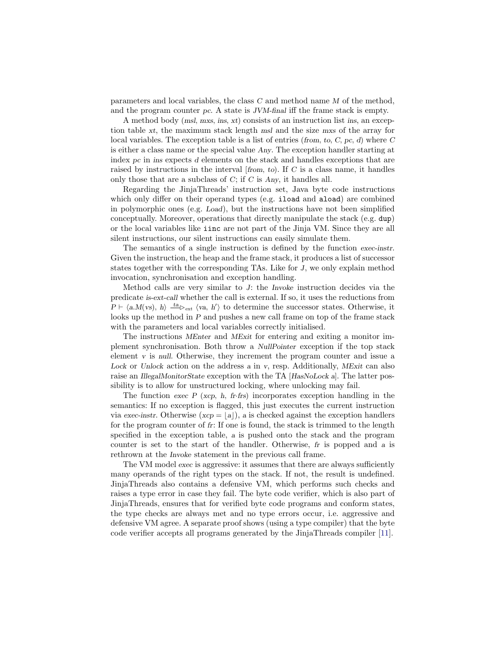parameters and local variables, the class C and method name M of the method, and the program counter pc. A state is JVM-final iff the frame stack is empty.

A method body (msl, mxs, ins, xt) consists of an instruction list ins, an exception table xt, the maximum stack length msl and the size mxs of the array for local variables. The exception table is a list of entries (from, to, C, pc, d) where C is either a class name or the special value Any. The exception handler starting at index pc in ins expects d elements on the stack and handles exceptions that are raised by instructions in the interval [from, to). If C is a class name, it handles only those that are a subclass of C; if C is Any, it handles all.

Regarding the JinjaThreads' instruction set, Java byte code instructions which only differ on their operand types (e.g. iload and aload) are combined in polymorphic ones (e.g. Load), but the instructions have not been simplified conceptually. Moreover, operations that directly manipulate the stack (e.g. dup) or the local variables like iinc are not part of the Jinja VM. Since they are all silent instructions, our silent instructions can easily simulate them.

The semantics of a single instruction is defined by the function exec-instr. Given the instruction, the heap and the frame stack, it produces a list of successor states together with the corresponding TAs. Like for J, we only explain method invocation, synchronisation and exception handling.

Method calls are very similar to J: the Invoke instruction decides via the predicate is-ext-call whether the call is external. If so, it uses the reductions from  $P \vdash \langle a.M(\mathit{vs}), h \rangle \stackrel{\mathit{ta}}{\longrightarrow} \mathit{Ex}_t \langle \mathit{va}, h' \rangle$  to determine the successor states. Otherwise, it looks up the method in P and pushes a new call frame on top of the frame stack with the parameters and local variables correctly initialised.

The instructions MEnter and MExit for entering and exiting a monitor implement synchronisation. Both throw a NullPointer exception if the top stack element v is null. Otherwise, they increment the program counter and issue a Lock or Unlock action on the address a in v, resp. Additionally, MExit can also raise an IllegalMonitorState exception with the TA [HasNoLock a]. The latter possibility is to allow for unstructured locking, where unlocking may fail.

The function exec  $P$  (xcp, h, fr·frs) incorporates exception handling in the semantics: If no exception is flagged, this just executes the current instruction via exec-instr. Otherwise (xcp = |a|), a is checked against the exception handlers for the program counter of  $f$ : If one is found, the stack is trimmed to the length specified in the exception table, a is pushed onto the stack and the program counter is set to the start of the handler. Otherwise, fr is popped and a is rethrown at the Invoke statement in the previous call frame.

The VM model exec is aggressive: it assumes that there are always sufficiently many operands of the right types on the stack. If not, the result is undefined. JinjaThreads also contains a defensive VM, which performs such checks and raises a type error in case they fail. The byte code verifier, which is also part of JinjaThreads, ensures that for verified byte code programs and conform states, the type checks are always met and no type errors occur, i.e. aggressive and defensive VM agree. A separate proof shows (using a type compiler) that the byte code verifier accepts all programs generated by the JinjaThreads compiler [\[11\]](#page-19-5).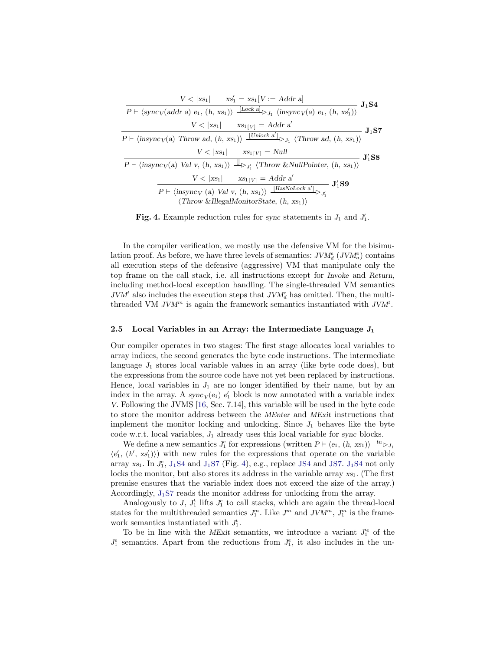| $V <  xs_1 $ $xs'_1 = xs_1[V := Addr a]$<br>$J_1S4$                                                                                                                                                      |  |
|----------------------------------------------------------------------------------------------------------------------------------------------------------------------------------------------------------|--|
| $P \vdash \langle \text{sync}_V(\text{addr } a) \ e_1, (h, xs_1) \rangle \xrightarrow{[Lock \ a]} \gtrsim_{J_1} \langle \text{insync}_V(a) \ e_1, (h, xs_1') \rangle$                                    |  |
| $V <  xs_1 $ $xs_{1[V]} = Addr a'$<br>$J_1S7$                                                                                                                                                            |  |
| $P \vdash \langle \text{insync}_V(a) \text{ Throw ad, } (h, xs_1) \rangle \xrightarrow{[Unlock a']} \rhd_{J_1} \langle \text{Throw ad, } (h, xs_1) \rangle$                                              |  |
| $V <  xs_1 $ $xs_{1[V]} = Null$<br>$J'_{1}S8$                                                                                                                                                            |  |
| $P \vdash \langle \text{insync}_V(a) \; \text{Val } v, \, (h, xs_1) \rangle \xrightarrow{\mathbb{L}}_{J'_1} \langle \text{Throw & NullPointer, (h, xs_1) \rangle}$                                       |  |
| $V <  xs_1 $ $xs_{1\lceil V\rceil} = Addr a'$<br>$J'_{1}S9$                                                                                                                                              |  |
| $P \vdash \langle \textit{insync}_V \; (\textit{a}) \; \; \textit{Val} \; \textit{v}, \; (\overline{\textit{h}, \; \textit{x s_1})} \rangle \; \frac{[\textit{HasNoLock a']}{\sum_{J'}} \; \rangle}{\,}$ |  |
| $\langle$ Throw & IllegalMonitorState, $(h, xs_1)$                                                                                                                                                       |  |

<span id="page-7-1"></span>Fig. 4. Example reduction rules for sync statements in  $J_1$  and  $J'_1$ .

In the compiler verification, we mostly use the defensive VM for the bisimulation proof. As before, we have three levels of semantics:  $JVM_d^e$   $(JVM_a^e)$  contains all execution steps of the defensive (aggressive) VM that manipulate only the top frame on the call stack, i.e. all instructions except for Invoke and Return, including method-local exception handling. The single-threaded VM semantics  $JVM<sup>t</sup>$  also includes the execution steps that  $JVM<sup>e</sup><sub>d</sub>$  has omitted. Then, the multithreaded VM  $JVM<sup>m</sup>$  is again the framework semantics instantiated with  $JVM<sup>t</sup>$ .

#### <span id="page-7-0"></span>2.5 Local Variables in an Array: the Intermediate Language  $J_1$

Our compiler operates in two stages: The first stage allocates local variables to array indices, the second generates the byte code instructions. The intermediate language  $J_1$  stores local variable values in an array (like byte code does), but the expressions from the source code have not yet been replaced by instructions. Hence, local variables in  $J_1$  are no longer identified by their name, but by an index in the array. A  $sync_V(e_1) e'_1$  block is now annotated with a variable index V. Following the JVMS [\[16,](#page-19-9) Sec. 7.14], this variable will be used in the byte code to store the monitor address between the MEnter and MExit instructions that implement the monitor locking and unlocking. Since  $J_1$  behaves like the byte code w.r.t. local variables,  $J_1$  already uses this local variable for sync blocks.

We define a new semantics  $J_1^e$  for expressions (written  $P \vdash \langle e_1, (h, xs_1) \rangle \stackrel{ta}{\longrightarrow} J_1$  $\langle e'_1, (h', xs'_1) \rangle$  with new rules for the expressions that operate on the variable array  $xs_1$ . In  $J_1^e$ , J<sub>1</sub>[S4](#page-7-0) and J<sub>1</sub>[S7](#page-7-0) (Fig. [4\)](#page-7-1), e.g., replace [JS4](#page-4-0) and [JS7](#page-4-0). J<sub>1</sub>S4 not only locks the monitor, but also stores its address in the variable array  $xs_1$ . (The first premise ensures that the variable index does not exceed the size of the array.) Accordingly, J1[S7](#page-7-0) reads the monitor address for unlocking from the array.

Analogously to J,  $J_1^t$  lifts  $J_1^e$  to call stacks, which are again the thread-local states for the multithreaded semantics  $J_1^m$ . Like  $J^m$  and  $JVM^m$ ,  $J_1^m$  is the framework semantics instantiated with  $J_1^t$ .

To be in line with the MExit semantics, we introduce a variant  $J_1^{\prime e}$  of the  $J_1^e$  semantics. Apart from the reductions from  $J_1^e$ , it also includes in the un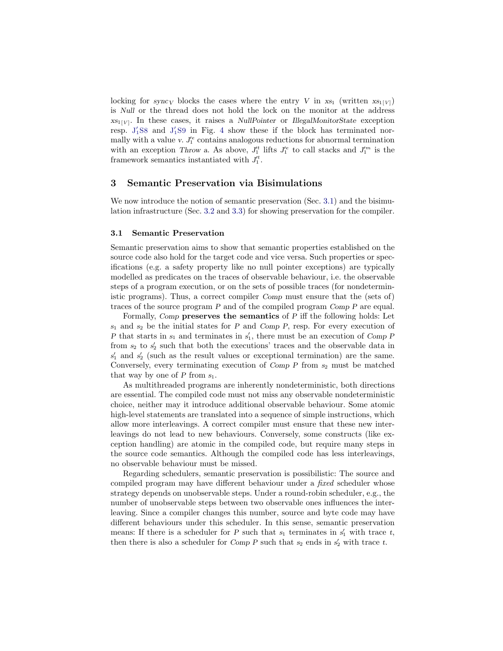locking for sync<sub>V</sub> blocks the cases where the entry V in  $xs_1$  (written  $xs_{1[V]}$ ) is Null or the thread does not hold the lock on the monitor at the address  $xs_{1[V]}$ . In these cases, it raises a NullPointer or IllegalMonitorState exception resp.  $J_1'SS$  and  $J_1'S9$  $J_1'S9$  in Fig. [4](#page-7-1) show these if the block has terminated normally with a value v.  $J_1^{\prime e}$  contains analogous reductions for abnormal termination with an exception Throw a. As above,  $J_1^{\prime t}$  lifts  $J_1^{\prime e}$  to call stacks and  $J_1^{\prime m}$  is the framework semantics instantiated with  $J_1^t$ .

## <span id="page-8-0"></span>3 Semantic Preservation via Bisimulations

We now introduce the notion of semantic preservation (Sec. [3.1\)](#page-8-1) and the bisimulation infrastructure (Sec. [3.2](#page-9-0) and [3.3\)](#page-10-1) for showing preservation for the compiler.

#### <span id="page-8-1"></span>3.1 Semantic Preservation

Semantic preservation aims to show that semantic properties established on the source code also hold for the target code and vice versa. Such properties or specifications (e.g. a safety property like no null pointer exceptions) are typically modelled as predicates on the traces of observable behaviour, i.e. the observable steps of a program execution, or on the sets of possible traces (for nondeterministic programs). Thus, a correct compiler Comp must ensure that the (sets of) traces of the source program P and of the compiled program Comp P are equal.

Formally, Comp preserves the semantics of P iff the following holds: Let  $s_1$  and  $s_2$  be the initial states for P and Comp P, resp. For every execution of P that starts in  $s_1$  and terminates in  $s'_1$ , there must be an execution of Comp P from  $s_2$  to  $s'_2$  such that both the executions' traces and the observable data in  $s'_1$  and  $s'_2$  (such as the result values or exceptional termination) are the same. Conversely, every terminating execution of Comp  $P$  from  $s_2$  must be matched that way by one of  $P$  from  $s_1$ .

As multithreaded programs are inherently nondeterministic, both directions are essential. The compiled code must not miss any observable nondeterministic choice, neither may it introduce additional observable behaviour. Some atomic high-level statements are translated into a sequence of simple instructions, which allow more interleavings. A correct compiler must ensure that these new interleavings do not lead to new behaviours. Conversely, some constructs (like exception handling) are atomic in the compiled code, but require many steps in the source code semantics. Although the compiled code has less interleavings, no observable behaviour must be missed.

Regarding schedulers, semantic preservation is possibilistic: The source and compiled program may have different behaviour under a *fixed* scheduler whose strategy depends on unobservable steps. Under a round-robin scheduler, e.g., the number of unobservable steps between two observable ones influences the interleaving. Since a compiler changes this number, source and byte code may have different behaviours under this scheduler. In this sense, semantic preservation means: If there is a scheduler for P such that  $s_1$  terminates in  $s'_1$  with trace t, then there is also a scheduler for Comp P such that  $s_2$  ends in  $s'_2$  with trace t.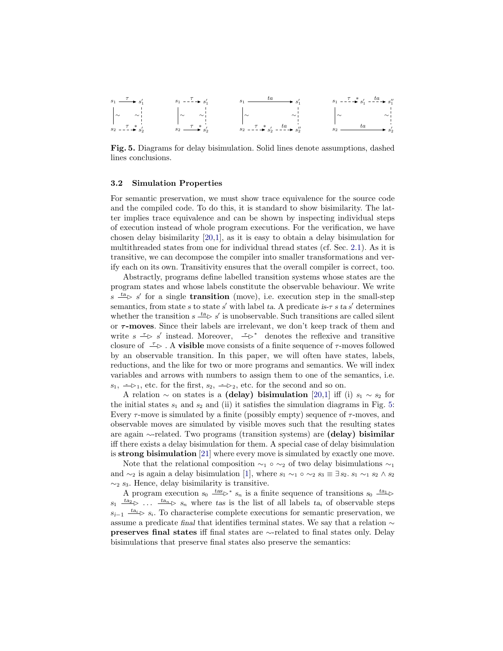

<span id="page-9-1"></span>Fig. 5. Diagrams for delay bisimulation. Solid lines denote assumptions, dashed lines conclusions.

#### <span id="page-9-0"></span>3.2 Simulation Properties

For semantic preservation, we must show trace equivalence for the source code and the compiled code. To do this, it is standard to show bisimilarity. The latter implies trace equivalence and can be shown by inspecting individual steps of execution instead of whole program executions. For the verification, we have chosen delay bisimilarity [\[20](#page-19-10)[,1\]](#page-18-1), as it is easy to obtain a delay bisimulation for multithreaded states from one for individual thread states (cf. Sec. [2.1\)](#page-2-0). As it is transitive, we can decompose the compiler into smaller transformations and verify each on its own. Transitivity ensures that the overall compiler is correct, too.

Abstractly, programs define labelled transition systems whose states are the program states and whose labels constitute the observable behaviour. We write  $s \stackrel{ta}{\longrightarrow} s'$  for a single **transition** (move), i.e. execution step in the small-step semantics, from state s to state s' with label ta. A predicate is- $\tau s t s s'$  determines whether the transition  $s \stackrel{ta}{\longrightarrow} s'$  is unobservable. Such transitions are called silent or  $\tau$ -moves. Since their labels are irrelevant, we don't keep track of them and write  $s \to s'$  instead. Moreover,  $\to^*$  denotes the reflexive and transitive closure of  $\overline{\rightarrow}$  A visible move consists of a finite sequence of  $\tau$ -moves followed by an observable transition. In this paper, we will often have states, labels, reductions, and the like for two or more programs and semantics. We will index variables and arrows with numbers to assign them to one of the semantics, i.e.  $s_1, \longrightarrow_1$ , etc. for the first,  $s_2, \longrightarrow_2$ , etc. for the second and so on.

A relation  $\sim$  on states is a (delay) bisimulation [\[20,](#page-19-10)[1\]](#page-18-1) iff (i)  $s_1 \sim s_2$  for the initial states  $s_1$  and  $s_2$  and (ii) it satisfies the simulation diagrams in Fig. [5:](#page-9-1) Every  $\tau$ -move is simulated by a finite (possibly empty) sequence of  $\tau$ -moves, and observable moves are simulated by visible moves such that the resulting states are again ∼-related. Two programs (transition systems) are (delay) bisimilar iff there exists a delay bisimulation for them. A special case of delay bisimulation is strong bisimulation [\[21\]](#page-19-11) where every move is simulated by exactly one move.

Note that the relational composition  $\sim_1 \circ \sim_2$  of two delay bisimulations  $\sim_1$ and  $\sim_2$  is again a delay bisimulation [\[1\]](#page-18-1), where  $s_1 \sim_1 \circ \sim_2 s_3 \equiv \exists s_2 \cdot s_1 \sim_1 s_2 \wedge s_2$  $\sim_2$  s<sub>3</sub>. Hence, delay bisimilarity is transitive.

<span id="page-9-2"></span>A program execution  $s_0 \xrightarrow{tas} s_n$  is a finite sequence of transitions  $s_0 \xrightarrow{ ta_1} s_0$  $s_1 \xrightarrow{ta_2} \cdots \xrightarrow{ta_n} s_n$  where tas is the list of all labels  $ta_i$  of observable steps  $s_{i-1}$   $\frac{ta_i}{\sqrt{B}}$   $s_i$ . To characterise complete executions for semantic preservation, we assume a predicate final that identifies terminal states. We say that a relation  $\sim$ preserves final states iff final states are ∼-related to final states only. Delay bisimulations that preserve final states also preserve the semantics: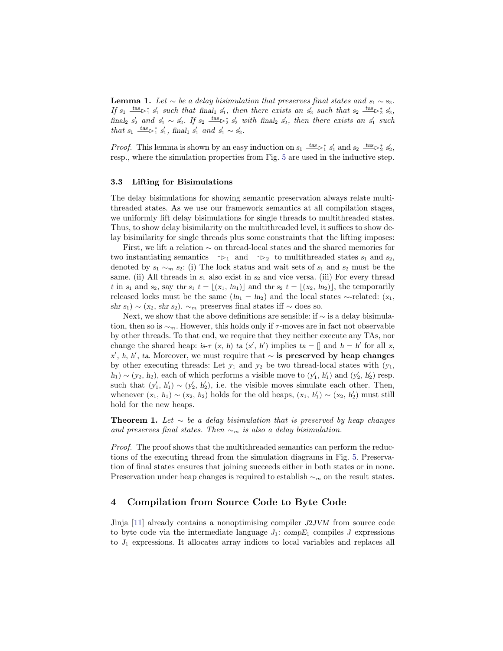**Lemma 1.** Let  $\sim$  be a delay bisimulation that preserves final states and s<sub>1</sub>  $\sim$  s<sub>2</sub>. If  $s_1 \xrightarrow{\text{tas}} s_1^* s_1'$  such that final<sub>1</sub>  $s_1'$ , then there exists an  $s_2'$  such that  $s_2 \xrightarrow{\text{tas}} s_2^* s_2'$ , final<sub>2</sub>  $s'_2$  and  $s'_1 \sim s'_2$ . If  $s_2 \stackrel{\text{tas}}{\longrightarrow} s'_2$  with final<sub>2</sub>  $s'_2$ , then there exists an  $s'_1$  such that  $s_1 \xrightarrow{\text{tas}} s_1$ , final<sub>1</sub>  $s_1'$  and  $s_1' \sim s_2'$ .

*Proof.* This lemma is shown by an easy induction on  $s_1 \xrightarrow{tas} s_1^* s_1'$  and  $s_2 \xrightarrow{ tas} s_2^* s_2'$ , resp., where the simulation properties from Fig. [5](#page-9-1) are used in the inductive step.

#### <span id="page-10-1"></span>3.3 Lifting for Bisimulations

The delay bisimulations for showing semantic preservation always relate multithreaded states. As we use our framework semantics at all compilation stages, we uniformly lift delay bisimulations for single threads to multithreaded states. Thus, to show delay bisimilarity on the multithreaded level, it suffices to show delay bisimilarity for single threads plus some constraints that the lifting imposes:

First, we lift a relation ∼ on thread-local states and the shared memories for two instantiating semantics  $\Rightarrow$  1 and  $\Rightarrow$  2 to multithreaded states s<sub>1</sub> and s<sub>2</sub>, denoted by  $s_1 \sim_m s_2$ : (i) The lock status and wait sets of  $s_1$  and  $s_2$  must be the same. (ii) All threads in  $s_1$  also exist in  $s_2$  and vice versa. (iii) For every thread t in  $s_1$  and  $s_2$ , say thr  $s_1$  t =  $\lfloor (x_1, h_1) \rfloor$  and thr  $s_2$  t =  $\lfloor (x_2, h_2) \rfloor$ , the temporarily released locks must be the same  $(ln_1 = ln_2)$  and the local states ∼-related:  $(x_1, ...)$ shr s<sub>1</sub>) ~ (x<sub>2</sub>, shr s<sub>2</sub>). ∼<sub>m</sub> preserves final states iff ~ does so.

Next, we show that the above definitions are sensible: if  $\sim$  is a delay bisimulation, then so is  $\sim_m$ . However, this holds only if  $\tau$ -moves are in fact not observable by other threads. To that end, we require that they neither execute any TAs, nor change the shared heap: is- $\tau$  (x, h) ta (x', h') implies ta = [] and h = h' for all x,  $x'$ , h, h', ta. Moreover, we must require that  $\sim$  is preserved by heap changes by other executing threads: Let  $y_1$  and  $y_2$  be two thread-local states with  $(y_1,$  $(h_1) \sim (y_2, h_2)$ , each of which performs a visible move to  $(y'_1, h'_1)$  and  $(y'_2, h'_2)$  resp. such that  $(y'_1, h'_1) \sim (y'_2, h'_2)$ , i.e. the visible moves simulate each other. Then, whenever  $(x_1, h_1) \sim (x_2, h_2)$  holds for the old heaps,  $(x_1, h'_1) \sim (x_2, h'_2)$  must still hold for the new heaps.

<span id="page-10-2"></span>**Theorem 1.** Let  $\sim$  be a delay bisimulation that is preserved by heap changes and preserves final states. Then  $\sim_m$  is also a delay bisimulation.

Proof. The proof shows that the multithreaded semantics can perform the reductions of the executing thread from the simulation diagrams in Fig. [5.](#page-9-1) Preservation of final states ensures that joining succeeds either in both states or in none. Preservation under heap changes is required to establish  $\sim_m$  on the result states.

# <span id="page-10-0"></span>4 Compilation from Source Code to Byte Code

Jinja [\[11\]](#page-19-5) already contains a nonoptimising compiler J2JVM from source code to byte code via the intermediate language  $J_1$ : comp $E_1$  compiles J expressions to  $J_1$  expressions. It allocates array indices to local variables and replaces all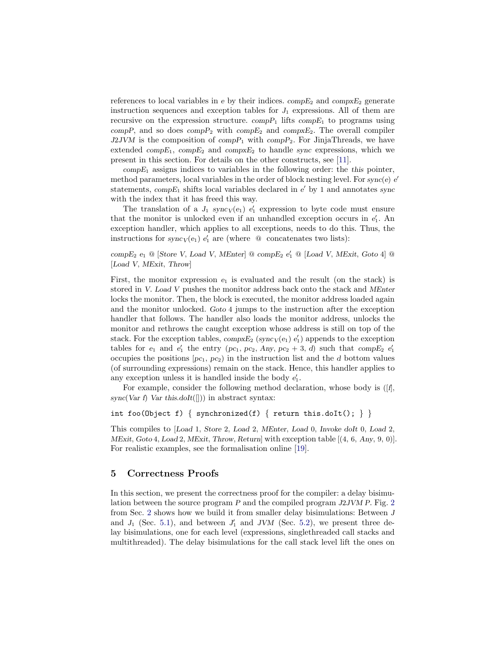references to local variables in e by their indices.  $\text{compE}_2$  and  $\text{compE}_2$  generate instruction sequences and exception tables for  $J_1$  expressions. All of them are recursive on the expression structure.  $compP<sub>1</sub>$  lifts  $compE<sub>1</sub>$  to programs using compP, and so does  $compP_2$  with  $compE_2$  and  $compE_2$ . The overall compiler  $J2JVM$  is the composition of  $compP_1$  with  $compP_2$ . For JinjaThreads, we have extended  $compE_1$ ,  $compE_2$  and  $compxE_2$  to handle sync expressions, which we present in this section. For details on the other constructs, see [\[11\]](#page-19-5).

 $compE<sub>1</sub>$  assigns indices to variables in the following order: the this pointer, method parameters, local variables in the order of block nesting level. For  $sync(e)$  e' statements,  $compE<sub>1</sub>$  shifts local variables declared in  $e'$  by 1 and annotates sync with the index that it has freed this way.

The translation of a  $J_1$  sync $_V(e_1)$   $e'_1$  expression to byte code must ensure that the monitor is unlocked even if an unhandled exception occurs in  $e'_1$ . An exception handler, which applies to all exceptions, needs to do this. Thus, the instructions for  $sync_V(e_1) e'_1$  are (where  $\textcircled{a}$  concatenates two lists):

 $compE<sub>2</sub> e<sub>1</sub> @ [Store V, Load V, MEnter] @ compE<sub>2</sub> e'<sub>1</sub> @ [Load V, MExit, Goto 4] @$ [Load V, MExit, Throw]

First, the monitor expression  $e_1$  is evaluated and the result (on the stack) is stored in V. Load V pushes the monitor address back onto the stack and MEnter locks the monitor. Then, the block is executed, the monitor address loaded again and the monitor unlocked. Goto 4 jumps to the instruction after the exception handler that follows. The handler also loads the monitor address, unlocks the monitor and rethrows the caught exception whose address is still on top of the stack. For the exception tables,  $\text{convE}_2$  ( $\text{sync}_V(e_1) e'_1$ ) appends to the exception tables for  $e_1$  and  $e'_1$  the entry  $(pc_1, pc_2, Any, pc_2 + 3, d)$  such that compE<sub>2</sub>  $e'_1$ occupies the positions  $[pc_1, pc_2)$  in the instruction list and the d bottom values (of surrounding expressions) remain on the stack. Hence, this handler applies to any exception unless it is handled inside the body  $e'_1$ .

For example, consider the following method declaration, whose body is ( $[f]$ , sync(Var f) Var this.doIt( $\vert\vert$ )) in abstract syntax:

```
int foo(Object f) { synchronized(f) { return this.doIt(); } }
```
This compiles to [Load 1, Store 2, Load 2, MEnter, Load 0, Invoke doIt 0, Load 2, MExit, Goto 4, Load 2, MExit, Throw, Return] with exception table [(4, 6, Any, 9, 0)]. For realistic examples, see the formalisation online [\[19\]](#page-19-6).

### <span id="page-11-0"></span>5 Correctness Proofs

In this section, we present the correctness proof for the compiler: a delay bisimulation between the source program P and the compiled program J2JVM P. Fig. [2](#page-3-2) from Sec. [2](#page-1-0) shows how we build it from smaller delay bisimulations: Between J and  $J_1$  (Sec. [5.1\)](#page-12-0), and between  $J_1$  and JVM (Sec. [5.2\)](#page-12-1), we present three delay bisimulations, one for each level (expressions, singlethreaded call stacks and multithreaded). The delay bisimulations for the call stack level lift the ones on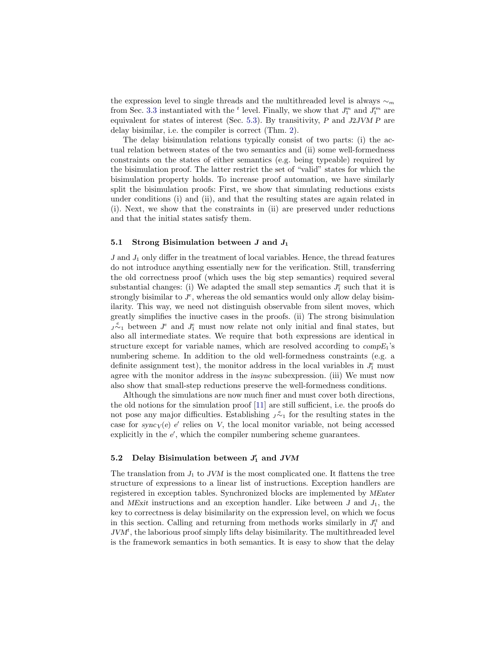the expression level to single threads and the multithreaded level is always  $\sim_m$ from Sec. [3.3](#page-10-1) instantiated with the <sup>t</sup> level. Finally, we show that  $J_1^m$  and  $J_1^m$  are equivalent for states of interest (Sec. [5.3\)](#page-14-0). By transitivity, P and J2JVM P are delay bisimilar, i.e. the compiler is correct (Thm. [2\)](#page-14-1).

The delay bisimulation relations typically consist of two parts: (i) the actual relation between states of the two semantics and (ii) some well-formedness constraints on the states of either semantics (e.g. being typeable) required by the bisimulation proof. The latter restrict the set of "valid" states for which the bisimulation property holds. To increase proof automation, we have similarly split the bisimulation proofs: First, we show that simulating reductions exists under conditions (i) and (ii), and that the resulting states are again related in (i). Next, we show that the constraints in (ii) are preserved under reductions and that the initial states satisfy them.

#### <span id="page-12-0"></span>5.1 Strong Bisimulation between  $J$  and  $J_1$

 $J$  and  $J_1$  only differ in the treatment of local variables. Hence, the thread features do not introduce anything essentially new for the verification. Still, transferring the old correctness proof (which uses the big step semantics) required several substantial changes: (i) We adapted the small step semantics  $J_1^e$  such that it is strongly bisimilar to  $J<sup>e</sup>$ , whereas the old semantics would only allow delay bisimilarity. This way, we need not distinguish observable from silent moves, which greatly simplifies the inuctive cases in the proofs. (ii) The strong bisimulation  $J^e_{\sim}$  between  $J^e$  and  $J_1^e$  must now relate not only initial and final states, but also all intermediate states. We require that both expressions are identical in structure except for variable names, which are resolved according to  $compE<sub>1</sub>'s$ numbering scheme. In addition to the old well-formedness constraints (e.g. a definite assignment test), the monitor address in the local variables in  $J_1^e$  must agree with the monitor address in the insync subexpression. (iii) We must now also show that small-step reductions preserve the well-formedness conditions.

Although the simulations are now much finer and must cover both directions, the old notions for the simulation proof [\[11\]](#page-19-5) are still sufficient, i.e. the proofs do not pose any major difficulties. Establishing  $\bar{J}^{\varepsilon}$  for the resulting states in the case for  $sync<sub>V</sub>(e)$  e' relies on V, the local monitor variable, not being accessed explicitly in the  $e'$ , which the compiler numbering scheme guarantees.

# <span id="page-12-1"></span>5.2 Delay Bisimulation between  $J'_1$  and JVM

The translation from  $J_1$  to JVM is the most complicated one. It flattens the tree structure of expressions to a linear list of instructions. Exception handlers are registered in exception tables. Synchronized blocks are implemented by MEnter and MExit instructions and an exception handler. Like between J and  $J_1$ , the key to correctness is delay bisimilarity on the expression level, on which we focus in this section. Calling and returning from methods works similarly in  $J_1^t$  and  $JVM<sup>t</sup>$ , the laborious proof simply lifts delay bisimilarity. The multithreaded level is the framework semantics in both semantics. It is easy to show that the delay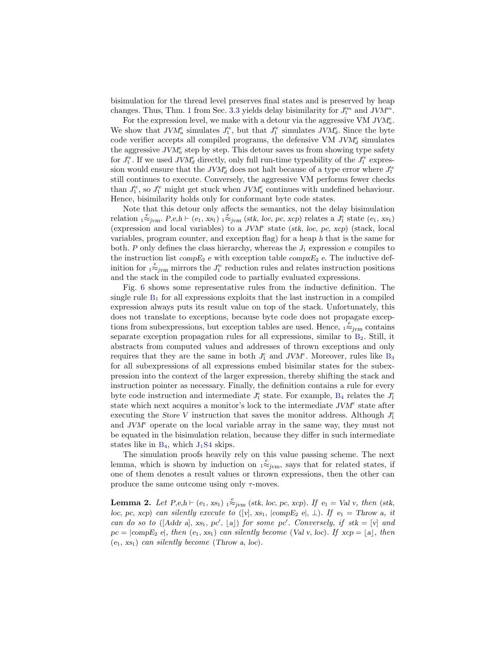bisimulation for the thread level preserves final states and is preserved by heap changes. Thus, Thm. [1](#page-10-2) from Sec. [3.3](#page-10-1) yields delay bisimilarity for  $J_1^{\prime m}$  and  $JVM^m$ .

For the expression level, we make with a detour via the aggressive VM  $JVM_a^e$ . We show that  $JVM_a^e$  simulates  $J_1^{\prime e}$ , but that  $J_1^{\prime e}$  simulates  $JVM_d^e$ . Since the byte code verifier accepts all compiled programs, the defensive VM  $JVM_d^e$  simulates the aggressive  $JVM_a^e$  step by step. This detour saves us from showing type safety for  $J_1^{\prime e}$ . If we used JVM<sup>e</sup> directly, only full run-time typeability of the  $J_1^{\prime e}$  expression would ensure that the  $JVM_d^e$  does not halt because of a type error where  $J_1^{\prime e}$ still continues to execute. Conversely, the aggressive VM performs fewer checks than  $J_1^{\prime e}$ , so  $J_1^{\prime e}$  might get stuck when  $JVM_a^e$  continues with undefined behaviour. Hence, bisimilarity holds only for conformant byte code states.

Note that this detour only affects the semantics, not the delay bisimulation relation  $e^{e}_{i\text{sym}}$ .  $P,e,h \vdash (e_1, xs_1)$   $e^{e}_{i\text{sym}}$  (*stk*, *loc*, *pc*, *xcp*) relates a  $J_1^e$  state (*e*<sub>1</sub>, *xs*<sub>1</sub>) (expression and local variables) to a  $JVM<sup>e</sup>$  state (stk, loc, pc, xcp) (stack, local variables, program counter, and exception flag) for a heap h that is the same for both. P only defines the class hierarchy, whereas the  $J_1$  expression e compiles to the instruction list comp $E_2$  e with exception table compx $E_2$  e. The inductive definition for  ${}_{1} \stackrel{e}{\approx} {}_{jvm}$  mirrors the  $J_1^{\prime e}$  reduction rules and relates instruction positions and the stack in the compiled code to partially evaluated expressions.

Fig. [6](#page-14-2) shows some representative rules from the inductive definition. The single rule  $B_1$  $B_1$  for all expressions exploits that the last instruction in a compiled expression always puts its result value on top of the stack. Unfortunately, this does not translate to exceptions, because byte code does not propagate exceptions from subexpressions, but exception tables are used. Hence,  $1 \approx_{jvm}$  contains separate exception propagation rules for all expressions, similar to  $B_2$  $B_2$ . Still, it abstracts from computed values and addresses of thrown exceptions and only requires that they are the same in both  $J_1^e$  and  $JVM^e$ . Moreover, rules like  $B_3$  $B_3$ for all subexpressions of all expressions embed bisimilar states for the subexpression into the context of the larger expression, thereby shifting the stack and instruction pointer as necessary. Finally, the definition contains a rule for every byte code instruction and intermediate  $J_1^e$  state. For example,  $B_4$  $B_4$  relates the  $J_1^e$ state which next acquires a monitor's lock to the intermediate  $JVM<sup>e</sup>$  state after executing the Store V instruction that saves the monitor address. Although  $J_1^e$ and JVM<sup>e</sup> operate on the local variable array in the same way, they must not be equated in the bisimulation relation, because they differ in such intermediate states like in  $B_4$  $B_4$ , which  $J_1S4$  $J_1S4$  skips.

The simulation proofs heavily rely on this value passing scheme. The next lemma, which is shown by induction on  ${}_{1} \stackrel{e}{\approx} {}_{jvm}$ , says that for related states, if one of them denotes a result values or thrown expressions, then the other can produce the same outcome using only  $\tau$ -moves.

<span id="page-13-0"></span>**Lemma 2.** Let  $P,e,h \vdash (e_1, xs_1) \xrightarrow{\epsilon}_{jvm} (stk, loc, pc, xcp)$ . If  $e_1 = Val v$ , then (stk, loc, pc, xcp) can silently execute to ([v], xs<sub>1</sub>,  $|compE_2 e|, \perp$ ). If  $e_1 = Throw a$ , it can do so to ([Addr a],  $xs_1$ ,  $pc'$ , [a]) for some pc'. Conversely, if  $stk = [v]$  and  $pc = |compE_2 e|$ , then  $(e_1, xs_1)$  can silently become (Val v, loc). If  $xcp = |a|$ , then  $(e_1, xs_1)$  can silently become (Throw a, loc).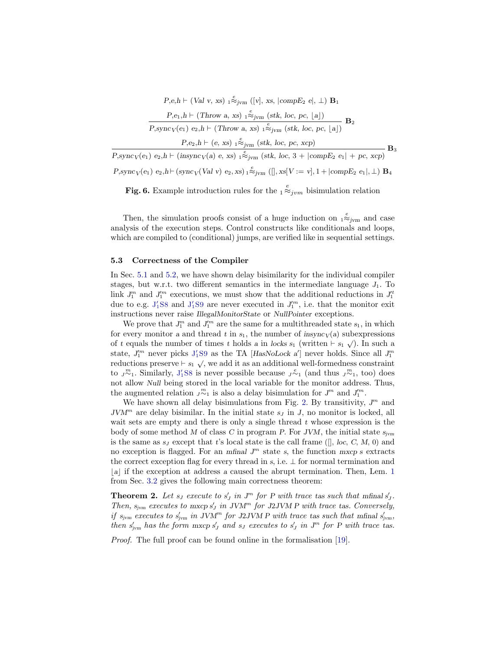

 $P$ ,sync $_V(e_1)$   $e_2$ ,h  $\vdash$  (sync $_V(Val V)$   $e_2$ ,xs)  $_1 \stackrel{e}{\approx}$ jvm  $([], xs[V := v], 1 + |compE_2 e_1|, \bot)$   $\mathbf{B}_4$ 

<span id="page-14-2"></span>**Fig. 6.** Example introduction rules for the  ${}_{1} \stackrel{e}{\approx} {}_{jvm}$  bisimulation relation

Then, the simulation proofs consist of a huge induction on  ${}_{1} \stackrel{e}{\approx} {}_{j \text{vm}}$  and case analysis of the execution steps. Control constructs like conditionals and loops, which are compiled to (conditional) jumps, are verified like in sequential settings.

### <span id="page-14-0"></span>5.3 Correctness of the Compiler

In Sec. [5.1](#page-12-0) and [5.2,](#page-12-1) we have shown delay bisimilarity for the individual compiler stages, but w.r.t. two different semantics in the intermediate language  $J_1$ . To link  $J_1^m$  and  $J_1^{\prime m}$  executions, we must show that the additional reductions in  $J_1^{\prime t}$ due to e.g.  $J_1'SS$  and  $J_1'S9$  $J_1'S9$  are never executed in  $J_1''''$ , i.e. that the monitor exit instructions never raise IllegalMonitorState or NullPointer exceptions.

We prove that  $J_1^m$  and  $J_1^{'m}$  are the same for a multithreaded state  $s_1$ , in which for every monitor a and thread t in  $s_1$ , the number of insync<sub>V</sub>(a) subexpressions of t equals the number of times t holds a in locks  $s_1$  (written  $\vdash s_1 \sqrt{ }$ ). In such a state,  $J_1^{\prime m}$  never picks  $J_1$  [S9](#page-7-0) as the TA [HasNoLock a'] never holds. Since all  $J_1^m$ reductions preserve  $\vdash$  s<sub>1</sub>  $\checkmark$ , we add it as an additional well-formedness constraint to  $\overline{J}_{\sim 1}^m$ . Similarly, J'<sub>1</sub>[S8](#page-7-0) is never possible because  $\overline{J}_{\sim 1}^e$  (and thus  $\overline{J}_{\sim 1}^m$ , too) does not allow Null being stored in the local variable for the monitor address. Thus, the augmented relation  $\bar{j}_{\sim 1}^m$  is also a delay bisimulation for  $J^m$  and  $J_1^m$ .

We have shown all delay bisimulations from Fig. [2.](#page-3-2) By transitivity,  $J<sup>m</sup>$  and  $JVM<sup>m</sup>$  are delay bisimilar. In the initial state  $s<sub>J</sub>$  in J, no monitor is locked, all wait sets are empty and there is only a single thread  $t$  whose expression is the body of some method M of class C in program P. For JVM, the initial state  $s_{jvm}$ is the same as  $s_j$  except that t's local state is the call frame ([], loc, C, M, 0) and no exception is flagged. For an mfinal  $J<sup>m</sup>$  state s, the function mxcp s extracts the correct exception flag for every thread in s, i.e.  $\perp$  for normal termination and bac if the exception at address a caused the abrupt termination. Then, Lem. [1](#page-9-2) from Sec. [3.2](#page-9-0) gives the following main correctness theorem:

<span id="page-14-1"></span>**Theorem 2.** Let  $s_j$  execute to  $s'_j$  in  $J^m$  for P with trace tas such that mfinal  $s'_j$ . Then,  $s_{jvm}$  executes to mxcp  $s'_J$  in JVM<sup>m</sup> for J2JVMP with trace tas. Conversely, if  $s_{\text{jvm}}$  executes to  $s'_{\text{jvm}}$  in JVM<sup>m</sup> for J2JVM P with trace tas such that mfinal  $s'_{\text{jvm}}$ , then  $s'_{jvm}$  has the form mxcp  $s'_{j}$  and  $s_{j}$  executes to  $s'_{j}$  in  $J^{m}$  for P with trace tas.

Proof. The full proof can be found online in the formalisation [\[19\]](#page-19-6).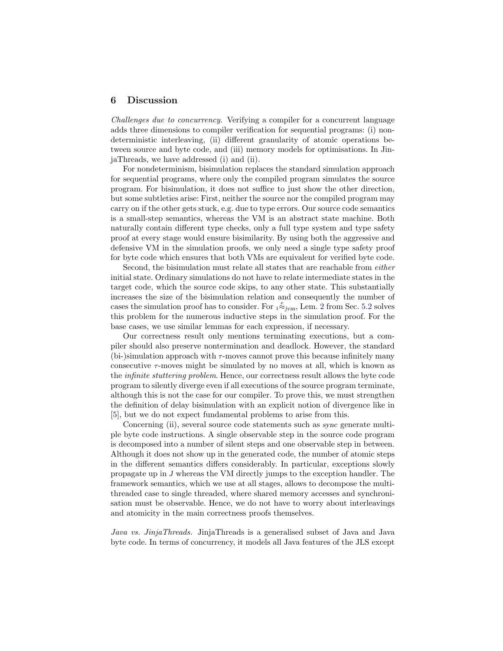### <span id="page-15-0"></span>6 Discussion

Challenges due to concurrency. Verifying a compiler for a concurrent language adds three dimensions to compiler verification for sequential programs: (i) nondeterministic interleaving, (ii) different granularity of atomic operations between source and byte code, and (iii) memory models for optimisations. In JinjaThreads, we have addressed (i) and (ii).

For nondeterminism, bisimulation replaces the standard simulation approach for sequential programs, where only the compiled program simulates the source program. For bisimulation, it does not suffice to just show the other direction, but some subtleties arise: First, neither the source nor the compiled program may carry on if the other gets stuck, e.g. due to type errors. Our source code semantics is a small-step semantics, whereas the VM is an abstract state machine. Both naturally contain different type checks, only a full type system and type safety proof at every stage would ensure bisimilarity. By using both the aggressive and defensive VM in the simulation proofs, we only need a single type safety proof for byte code which ensures that both VMs are equivalent for verified byte code.

Second, the bisimulation must relate all states that are reachable from either initial state. Ordinary simulations do not have to relate intermediate states in the target code, which the source code skips, to any other state. This substantially increases the size of the bisimulation relation and consequently the number of cases the simulation proof has to consider. For  ${}_{1} \stackrel{e}{\approx} {}_{jvm}$ , Lem. [2](#page-13-0) from Sec. [5.2](#page-12-1) solves this problem for the numerous inductive steps in the simulation proof. For the base cases, we use similar lemmas for each expression, if necessary.

Our correctness result only mentions terminating executions, but a compiler should also preserve nontermination and deadlock. However, the standard (bi-)simulation approach with  $\tau$ -moves cannot prove this because infinitely many consecutive  $\tau$ -moves might be simulated by no moves at all, which is known as the infinite stuttering problem. Hence, our correctness result allows the byte code program to silently diverge even if all executions of the source program terminate, although this is not the case for our compiler. To prove this, we must strengthen the definition of delay bisimulation with an explicit notion of divergence like in [\[5\]](#page-19-12), but we do not expect fundamental problems to arise from this.

Concerning (ii), several source code statements such as sync generate multiple byte code instructions. A single observable step in the source code program is decomposed into a number of silent steps and one observable step in between. Although it does not show up in the generated code, the number of atomic steps in the different semantics differs considerably. In particular, exceptions slowly propagate up in J whereas the VM directly jumps to the exception handler. The framework semantics, which we use at all stages, allows to decompose the multithreaded case to single threaded, where shared memory accesses and synchronisation must be observable. Hence, we do not have to worry about interleavings and atomicity in the main correctness proofs themselves.

Java vs. JinjaThreads. JinjaThreads is a generalised subset of Java and Java byte code. In terms of concurrency, it models all Java features of the JLS except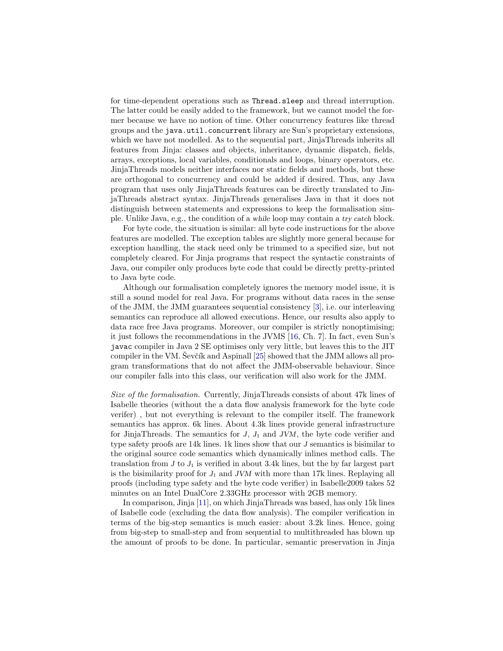for time-dependent operations such as Thread.sleep and thread interruption. The latter could be easily added to the framework, but we cannot model the former because we have no notion of time. Other concurrency features like thread groups and the java.util.concurrent library are Sun's proprietary extensions, which we have not modelled. As to the sequential part, JinjaThreads inherits all features from Jinja: classes and objects, inheritance, dynamic dispatch, fields, arrays, exceptions, local variables, conditionals and loops, binary operators, etc. JinjaThreads models neither interfaces nor static fields and methods, but these are orthogonal to concurrency and could be added if desired. Thus, any Java program that uses only JinjaThreads features can be directly translated to JinjaThreads abstract syntax. JinjaThreads generalises Java in that it does not distinguish between statements and expressions to keep the formalisation simple. Unlike Java, e.g., the condition of a while loop may contain a try catch block.

For byte code, the situation is similar: all byte code instructions for the above features are modelled. The exception tables are slightly more general because for exception handling, the stack need only be trimmed to a specified size, but not completely cleared. For Jinja programs that respect the syntactic constraints of Java, our compiler only produces byte code that could be directly pretty-printed to Java byte code.

Although our formalisation completely ignores the memory model issue, it is still a sound model for real Java. For programs without data races in the sense of the JMM, the JMM guarantees sequential consistency [\[3\]](#page-18-0), i.e. our interleaving semantics can reproduce all allowed executions. Hence, our results also apply to data race free Java programs. Moreover, our compiler is strictly nonoptimising; it just follows the recommendations in the JVMS [\[16,](#page-19-9) Ch. 7]. In fact, even Sun's javac compiler in Java 2 SE optimises only very little, but leaves this to the JIT compiler in the VM. Sevčík and Aspinall [[25\]](#page-19-13) showed that the JMM allows all program transformations that do not affect the JMM-observable behaviour. Since our compiler falls into this class, our verification will also work for the JMM.

Size of the formalisation. Currently, JinjaThreads consists of about 47k lines of Isabelle theories (without the a data flow analysis framework for the byte code verifer) , but not everything is relevant to the compiler itself. The framework semantics has approx. 6k lines. About 4.3k lines provide general infrastructure for JinjaThreads. The semantics for  $J, J_1$  and  $JVM$ , the byte code verifier and type safety proofs are 14k lines. 1k lines show that our J semantics is bisimilar to the original source code semantics which dynamically inlines method calls. The translation from  $J$  to  $J_1$  is verified in about 3.4k lines, but the by far largest part is the bisimilarity proof for  $J_1$  and  $JVM$  with more than 17k lines. Replaying all proofs (including type safety and the byte code verifier) in Isabelle2009 takes 52 minutes on an Intel DualCore 2.33GHz processor with 2GB memory.

In comparison, Jinja [\[11\]](#page-19-5), on which JinjaThreads was based, has only 15k lines of Isabelle code (excluding the data flow analysis). The compiler verification in terms of the big-step semantics is much easier: about 3.2k lines. Hence, going from big-step to small-step and from sequential to multithreaded has blown up the amount of proofs to be done. In particular, semantic preservation in Jinja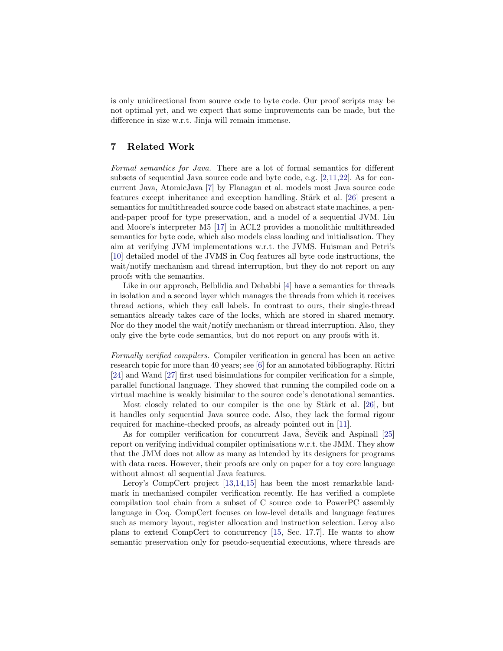is only unidirectional from source code to byte code. Our proof scripts may be not optimal yet, and we expect that some improvements can be made, but the difference in size w.r.t. Jinja will remain immense.

# 7 Related Work

Formal semantics for Java. There are a lot of formal semantics for different subsets of sequential Java source code and byte code, e.g. [\[2,](#page-18-2)[11](#page-19-5)[,22\]](#page-19-14). As for concurrent Java, AtomicJava [\[7\]](#page-19-15) by Flanagan et al. models most Java source code features except inheritance and exception handling. Stärk et al.  $[26]$  present a semantics for multithreaded source code based on abstract state machines, a penand-paper proof for type preservation, and a model of a sequential JVM. Liu and Moore's interpreter M5 [\[17\]](#page-19-17) in ACL2 provides a monolithic multithreaded semantics for byte code, which also models class loading and initialisation. They aim at verifying JVM implementations w.r.t. the JVMS. Huisman and Petri's [\[10\]](#page-19-18) detailed model of the JVMS in Coq features all byte code instructions, the wait/notify mechanism and thread interruption, but they do not report on any proofs with the semantics.

Like in our approach, Belblidia and Debabbi [\[4\]](#page-19-19) have a semantics for threads in isolation and a second layer which manages the threads from which it receives thread actions, which they call labels. In contrast to ours, their single-thread semantics already takes care of the locks, which are stored in shared memory. Nor do they model the wait/notify mechanism or thread interruption. Also, they only give the byte code semantics, but do not report on any proofs with it.

Formally verified compilers. Compiler verification in general has been an active research topic for more than 40 years; see [\[6\]](#page-19-20) for an annotated bibliography. Rittri [\[24\]](#page-19-3) and Wand [\[27\]](#page-19-4) first used bisimulations for compiler verification for a simple, parallel functional language. They showed that running the compiled code on a virtual machine is weakly bisimilar to the source code's denotational semantics.

Most closely related to our compiler is the one by Stärk et al.  $[26]$ , but it handles only sequential Java source code. Also, they lack the formal rigour required for machine-checked proofs, as already pointed out in [\[11\]](#page-19-5).

As for compiler verification for concurrent Java, Sevčík and Aspinall [[25\]](#page-19-13) report on verifying individual compiler optimisations w.r.t. the JMM. They show that the JMM does not allow as many as intended by its designers for programs with data races. However, their proofs are only on paper for a toy core language without almost all sequential Java features.

Leroy's CompCert project [\[13,](#page-19-1)[14,](#page-19-0)[15\]](#page-19-21) has been the most remarkable landmark in mechanised compiler verification recently. He has verified a complete compilation tool chain from a subset of C source code to PowerPC assembly language in Coq. CompCert focuses on low-level details and language features such as memory layout, register allocation and instruction selection. Leroy also plans to extend CompCert to concurrency [\[15,](#page-19-21) Sec. 17.7]. He wants to show semantic preservation only for pseudo-sequential executions, where threads are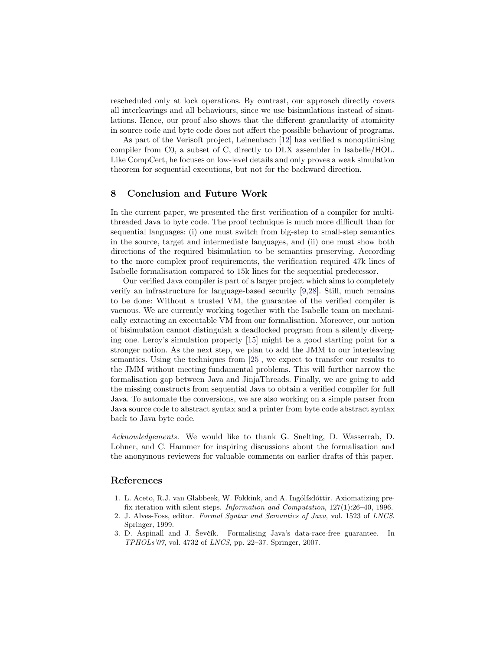rescheduled only at lock operations. By contrast, our approach directly covers all interleavings and all behaviours, since we use bisimulations instead of simulations. Hence, our proof also shows that the different granularity of atomicity in source code and byte code does not affect the possible behaviour of programs.

As part of the Verisoft project, Leinenbach [\[12\]](#page-19-22) has verified a nonoptimising compiler from C0, a subset of C, directly to DLX assembler in Isabelle/HOL. Like CompCert, he focuses on low-level details and only proves a weak simulation theorem for sequential executions, but not for the backward direction.

### 8 Conclusion and Future Work

In the current paper, we presented the first verification of a compiler for multithreaded Java to byte code. The proof technique is much more difficult than for sequential languages: (i) one must switch from big-step to small-step semantics in the source, target and intermediate languages, and (ii) one must show both directions of the required bisimulation to be semantics preserving. According to the more complex proof requirements, the verification required 47k lines of Isabelle formalisation compared to 15k lines for the sequential predecessor.

Our verified Java compiler is part of a larger project which aims to completely verify an infrastructure for language-based security [\[9,](#page-19-23)[28\]](#page-19-24). Still, much remains to be done: Without a trusted VM, the guarantee of the verified compiler is vacuous. We are currently working together with the Isabelle team on mechanically extracting an executable VM from our formalisation. Moreover, our notion of bisimulation cannot distinguish a deadlocked program from a silently diverging one. Leroy's simulation property [\[15\]](#page-19-21) might be a good starting point for a stronger notion. As the next step, we plan to add the JMM to our interleaving semantics. Using the techniques from [\[25\]](#page-19-13), we expect to transfer our results to the JMM without meeting fundamental problems. This will further narrow the formalisation gap between Java and JinjaThreads. Finally, we are going to add the missing constructs from sequential Java to obtain a verified compiler for full Java. To automate the conversions, we are also working on a simple parser from Java source code to abstract syntax and a printer from byte code abstract syntax back to Java byte code.

Acknowledgements. We would like to thank G. Snelting, D. Wasserrab, D. Lohner, and C. Hammer for inspiring discussions about the formalisation and the anonymous reviewers for valuable comments on earlier drafts of this paper.

# References

- <span id="page-18-1"></span>1. L. Aceto, R.J. van Glabbeek, W. Fokkink, and A. Ingólfsdóttir. Axiomatizing prefix iteration with silent steps. Information and Computation, 127(1):26–40, 1996.
- <span id="page-18-2"></span>2. J. Alves-Foss, editor. Formal Syntax and Semantics of Java, vol. 1523 of LNCS. Springer, 1999.
- <span id="page-18-0"></span>3. D. Aspinall and J. Ševčík. Formalising Java's data-race-free guarantee. In TPHOLs'07, vol. 4732 of LNCS, pp. 22–37. Springer, 2007.